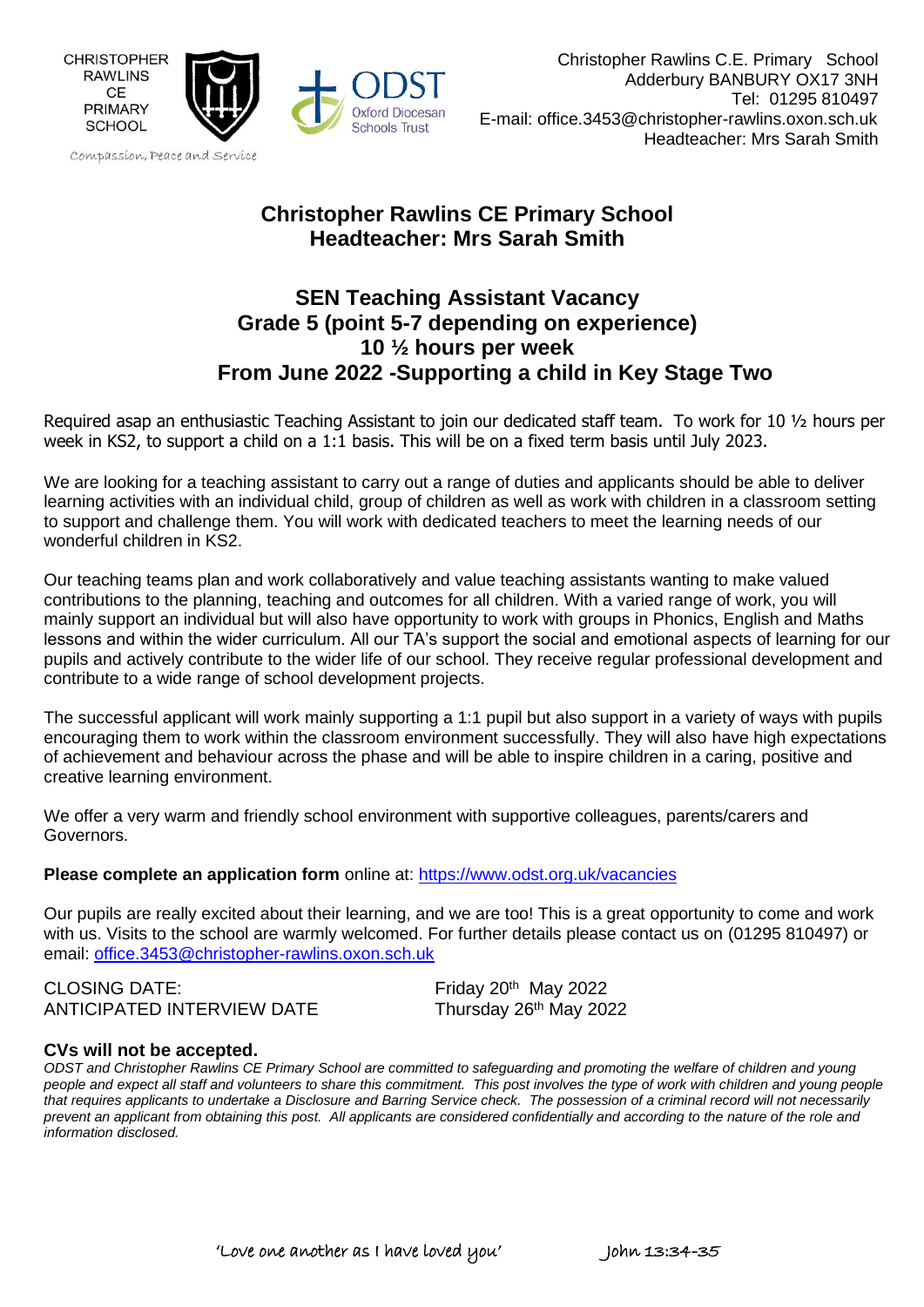

# **Christopher Rawlins CE Primary School Headteacher: Mrs Sarah Smith**

# **SEN Teaching Assistant Vacancy Grade 5 (point 5-7 depending on experience) 10 ½ hours per week From June 2022 -Supporting a child in Key Stage Two**

Required asap an enthusiastic Teaching Assistant to join our dedicated staff team. To work for 10 ½ hours per week in KS2, to support a child on a 1:1 basis. This will be on a fixed term basis until July 2023.

We are looking for a teaching assistant to carry out a range of duties and applicants should be able to deliver learning activities with an individual child, group of children as well as work with children in a classroom setting to support and challenge them. You will work with dedicated teachers to meet the learning needs of our wonderful children in KS2.

Our teaching teams plan and work collaboratively and value teaching assistants wanting to make valued contributions to the planning, teaching and outcomes for all children. With a varied range of work, you will mainly support an individual but will also have opportunity to work with groups in Phonics, English and Maths lessons and within the wider curriculum. All our TA's support the social and emotional aspects of learning for our pupils and actively contribute to the wider life of our school. They receive regular professional development and contribute to a wide range of school development projects.

The successful applicant will work mainly supporting a 1:1 pupil but also support in a variety of ways with pupils encouraging them to work within the classroom environment successfully. They will also have high expectations of achievement and behaviour across the phase and will be able to inspire children in a caring, positive and creative learning environment.

We offer a very warm and friendly school environment with supportive colleagues, parents/carers and Governors.

#### **Please complete an application form** online at: <https://www.odst.org.uk/vacancies>

Our pupils are really excited about their learning, and we are too! This is a great opportunity to come and work with us. Visits to the school are warmly welcomed. For further details please contact us on (01295 810497) or email: [office.3453@christopher-rawlins.oxon.sch.uk](mailto:office.3453@christopher-rawlins.oxon.sch.uk)

CLOSING DATE: ANTICIPATED INTERVIEW DATE Thursday 26<sup>th</sup> May 2022

Friday 20<sup>th</sup> May 2022

#### **CVs will not be accepted.**

ODST and Christopher Rawlins CE Primary School are committed to safeguarding and promoting the welfare of children and young people and expect all staff and volunteers to share this commitment. This post involves the type of work with children and young people that requires applicants to undertake a Disclosure and Barring Service check. The possession of a criminal record will not necessarily prevent an applicant from obtaining this post. All applicants are considered confidentially and according to the nature of the role and *information disclosed.*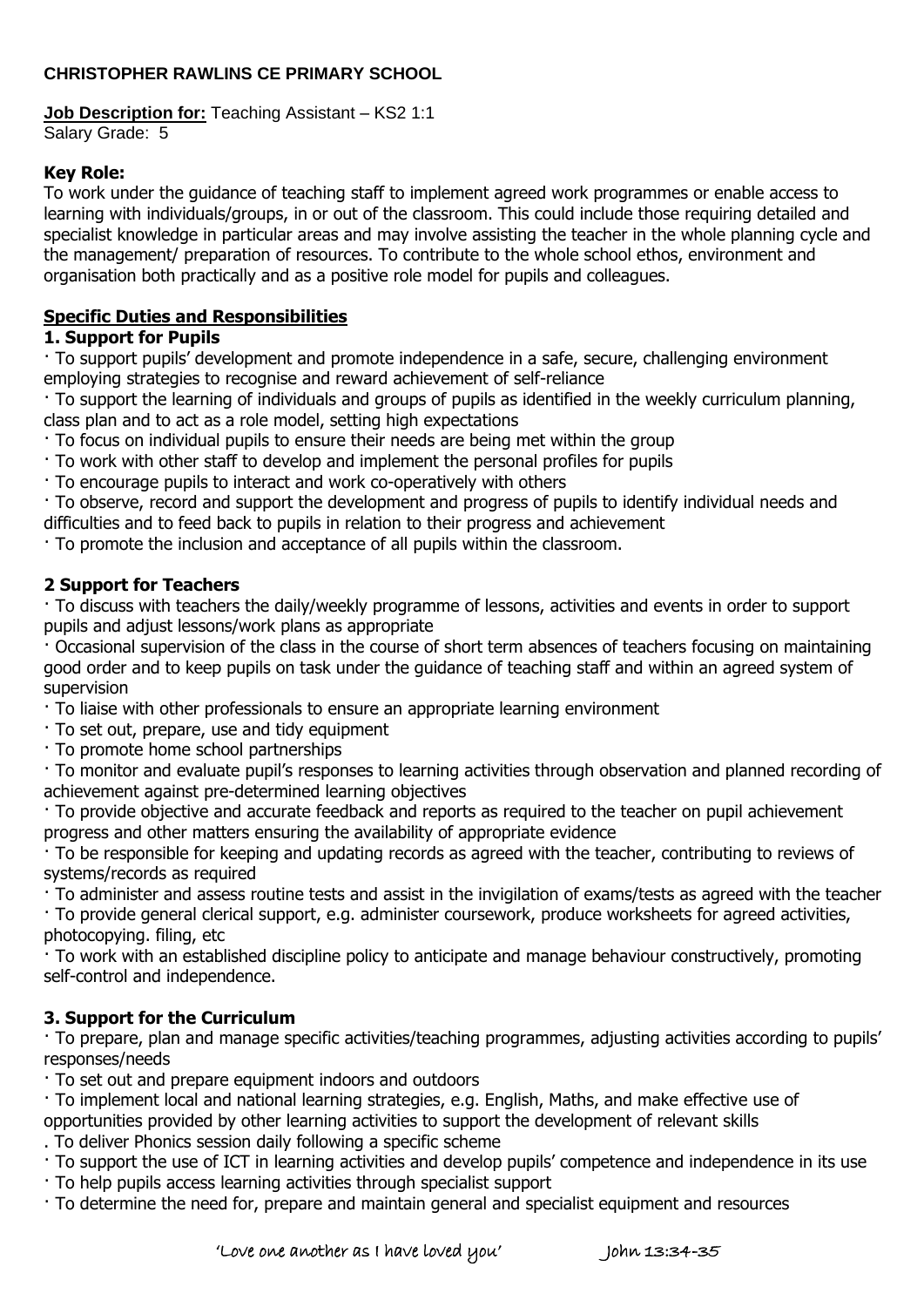## **CHRISTOPHER RAWLINS CE PRIMARY SCHOOL**

## **Job Description for:** Teaching Assistant – KS2 1:1

Salary Grade: 5

#### **Key Role:**

To work under the guidance of teaching staff to implement agreed work programmes or enable access to learning with individuals/groups, in or out of the classroom. This could include those requiring detailed and specialist knowledge in particular areas and may involve assisting the teacher in the whole planning cycle and the management/ preparation of resources. To contribute to the whole school ethos, environment and organisation both practically and as a positive role model for pupils and colleagues.

### **Specific Duties and Responsibilities**

### **1. Support for Pupils**

· To support pupils' development and promote independence in a safe, secure, challenging environment employing strategies to recognise and reward achievement of self-reliance

· To support the learning of individuals and groups of pupils as identified in the weekly curriculum planning, class plan and to act as a role model, setting high expectations

· To focus on individual pupils to ensure their needs are being met within the group

· To work with other staff to develop and implement the personal profiles for pupils

· To encourage pupils to interact and work co-operatively with others

· To observe, record and support the development and progress of pupils to identify individual needs and difficulties and to feed back to pupils in relation to their progress and achievement

· To promote the inclusion and acceptance of all pupils within the classroom.

### **2 Support for Teachers**

· To discuss with teachers the daily/weekly programme of lessons, activities and events in order to support pupils and adjust lessons/work plans as appropriate

· Occasional supervision of the class in the course of short term absences of teachers focusing on maintaining good order and to keep pupils on task under the guidance of teaching staff and within an agreed system of supervision

· To liaise with other professionals to ensure an appropriate learning environment

· To set out, prepare, use and tidy equipment

· To promote home school partnerships

· To monitor and evaluate pupil's responses to learning activities through observation and planned recording of achievement against pre-determined learning objectives

· To provide objective and accurate feedback and reports as required to the teacher on pupil achievement progress and other matters ensuring the availability of appropriate evidence

· To be responsible for keeping and updating records as agreed with the teacher, contributing to reviews of systems/records as required

· To administer and assess routine tests and assist in the invigilation of exams/tests as agreed with the teacher

· To provide general clerical support, e.g. administer coursework, produce worksheets for agreed activities, photocopying. filing, etc

· To work with an established discipline policy to anticipate and manage behaviour constructively, promoting self-control and independence.

## **3. Support for the Curriculum**

· To prepare, plan and manage specific activities/teaching programmes, adjusting activities according to pupils' responses/needs

· To set out and prepare equipment indoors and outdoors

· To implement local and national learning strategies, e.g. English, Maths, and make effective use of

opportunities provided by other learning activities to support the development of relevant skills . To deliver Phonics session daily following a specific scheme

· To support the use of ICT in learning activities and develop pupils' competence and independence in its use

· To help pupils access learning activities through specialist support

· To determine the need for, prepare and maintain general and specialist equipment and resources